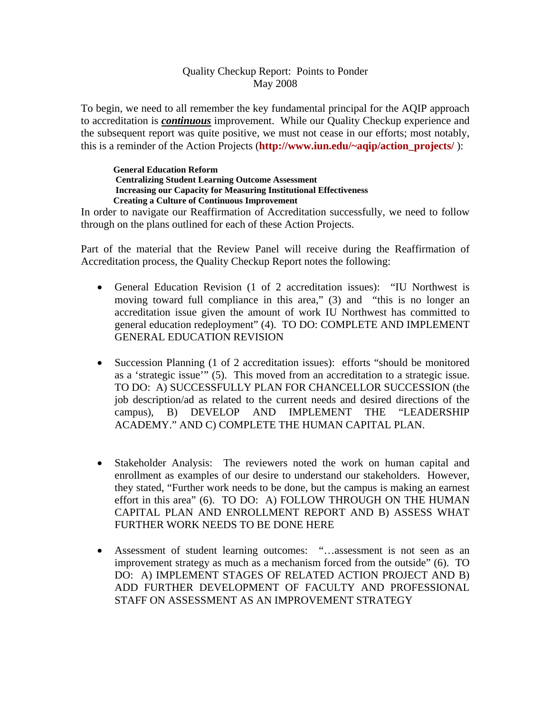## Quality Checkup Report: Points to Ponder May 2008

To begin, we need to all remember the key fundamental principal for the AQIP approach to accreditation is *continuous* improvement. While our Quality Checkup experience and the subsequent report was quite positive, we must not cease in our efforts; most notably, this is a reminder of the Action Projects (**http://www.iun.edu/~aqip/action\_projects/** ):

## **Creating a Culture of Continuous Improvement General Education Reform Centralizing Student Learning Outcome Assessment Increasing our Capacity for Measuring Institutional Effectiveness**

In order to navigate our Reaffirmation of Accreditation successfully, we need to follow through on the plans outlined for each of these Action Projects.

Part of the material that the Review Panel will receive during the Reaffirmation of Accreditation process, the Quality Checkup Report notes the following:

- General Education Revision (1 of 2 accreditation issues): "IU Northwest is moving toward full compliance in this area," (3) and "this is no longer an accreditation issue given the amount of work IU Northwest has committed to general education redeployment" (4). TO DO: COMPLETE AND IMPLEMENT GENERAL EDUCATION REVISION
- Succession Planning (1 of 2 accreditation issues): efforts "should be monitored as a 'strategic issue'" (5). This moved from an accreditation to a strategic issue. TO DO: A) SUCCESSFULLY PLAN FOR CHANCELLOR SUCCESSION (the job description/ad as related to the current needs and desired directions of the campus), B) DEVELOP AND IMPLEMENT THE "LEADERSHIP ACADEMY." AND C) COMPLETE THE HUMAN CAPITAL PLAN.
- Stakeholder Analysis: The reviewers noted the work on human capital and enrollment as examples of our desire to understand our stakeholders. However, they stated, "Further work needs to be done, but the campus is making an earnest effort in this area" (6). TO DO: A) FOLLOW THROUGH ON THE HUMAN CAPITAL PLAN AND ENROLLMENT REPORT AND B) ASSESS WHAT FURTHER WORK NEEDS TO BE DONE HERE
- Assessment of student learning outcomes: "…assessment is not seen as an improvement strategy as much as a mechanism forced from the outside" (6). TO DO: A) IMPLEMENT STAGES OF RELATED ACTION PROJECT AND B) ADD FURTHER DEVELOPMENT OF FACULTY AND PROFESSIONAL STAFF ON ASSESSMENT AS AN IMPROVEMENT STRATEGY